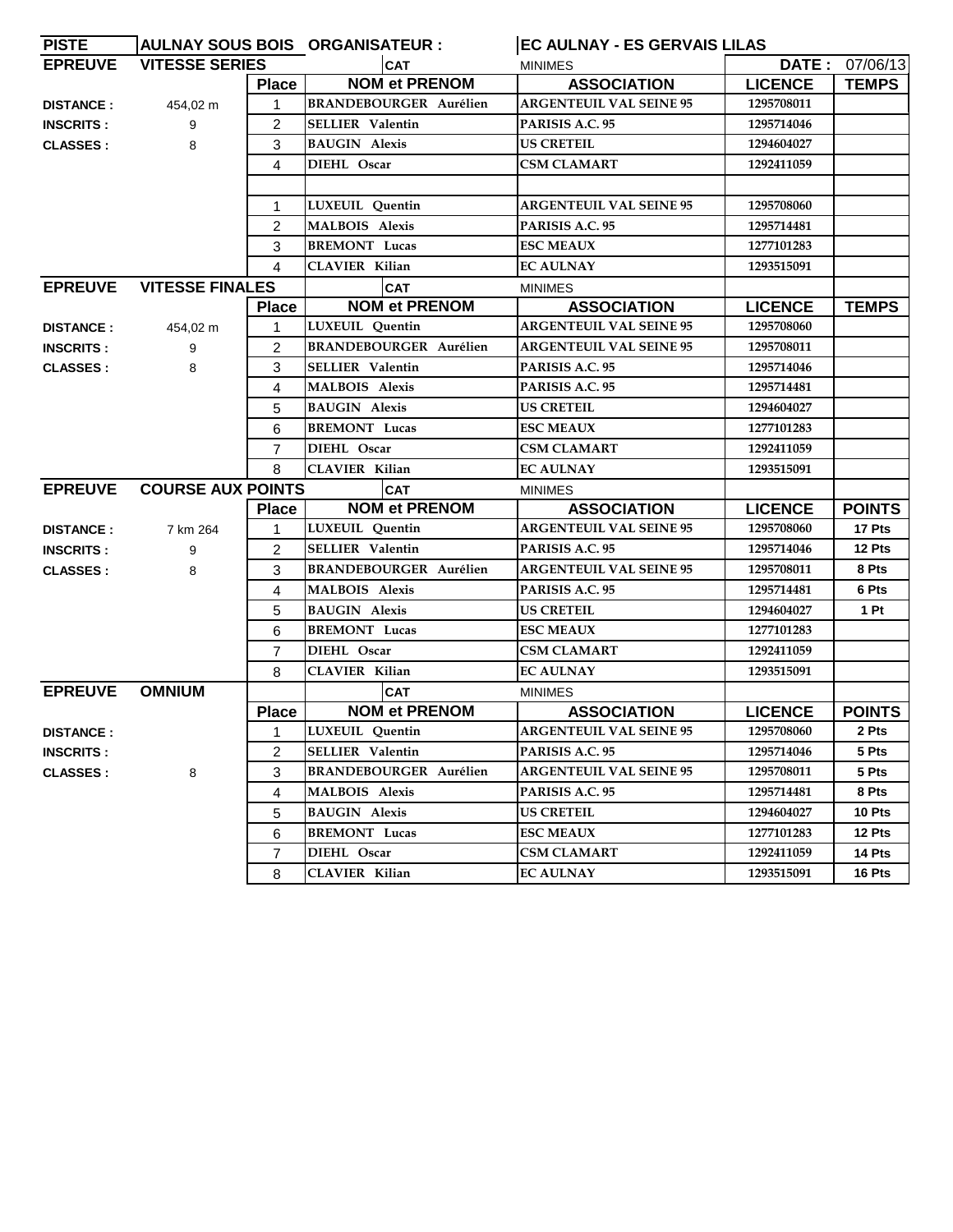| <b>PISTE</b>     |                          |                | AULNAY SOUS BOIS ORGANISATEUR : | <b>EC AULNAY - ES GERVAIS LILAS</b> |                |                       |
|------------------|--------------------------|----------------|---------------------------------|-------------------------------------|----------------|-----------------------|
| <b>EPREUVE</b>   | <b>VITESSE SERIES</b>    |                | <b>CAT</b>                      | <b>MINIMES</b>                      |                | <b>DATE: 07/06/13</b> |
|                  |                          | <b>Place</b>   | <b>NOM et PRENOM</b>            | <b>ASSOCIATION</b>                  | <b>LICENCE</b> | <b>TEMPS</b>          |
| <b>DISTANCE:</b> | 454,02 m                 | $\mathbf{1}$   | <b>BRANDEBOURGER Aurélien</b>   | <b>ARGENTEUIL VAL SEINE 95</b>      | 1295708011     |                       |
| <b>INSCRITS:</b> | 9                        | 2              | <b>SELLIER Valentin</b>         | PARISIS A.C. 95                     | 1295714046     |                       |
| <b>CLASSES:</b>  | 8                        | 3              | <b>BAUGIN Alexis</b>            | <b>US CRETEIL</b>                   | 1294604027     |                       |
|                  |                          | 4              | DIEHL Oscar                     | <b>CSM CLAMART</b>                  | 1292411059     |                       |
|                  |                          |                |                                 |                                     |                |                       |
|                  |                          | 1              | LUXEUIL Quentin                 | <b>ARGENTEUIL VAL SEINE 95</b>      | 1295708060     |                       |
|                  |                          | $\overline{2}$ | <b>MALBOIS Alexis</b>           | PARISIS A.C. 95                     | 1295714481     |                       |
|                  |                          | 3              | <b>BREMONT</b> Lucas            | <b>ESC MEAUX</b>                    | 1277101283     |                       |
|                  |                          | 4              | <b>CLAVIER Kilian</b>           | <b>EC AULNAY</b>                    | 1293515091     |                       |
| <b>EPREUVE</b>   | <b>VITESSE FINALES</b>   |                | <b>CAT</b>                      | <b>MINIMES</b>                      |                |                       |
|                  |                          | <b>Place</b>   | <b>NOM et PRENOM</b>            | <b>ASSOCIATION</b>                  | <b>LICENCE</b> | <b>TEMPS</b>          |
| <b>DISTANCE:</b> | 454,02 m                 | 1              | LUXEUIL Quentin                 | <b>ARGENTEUIL VAL SEINE 95</b>      | 1295708060     |                       |
| <b>INSCRITS:</b> | 9                        | $\overline{2}$ | <b>BRANDEBOURGER Aurélien</b>   | <b>ARGENTEUIL VAL SEINE 95</b>      | 1295708011     |                       |
| <b>CLASSES:</b>  | 8                        | 3              | <b>SELLIER Valentin</b>         | PARISIS A.C. 95                     | 1295714046     |                       |
|                  |                          | 4              | <b>MALBOIS Alexis</b>           | PARISIS A.C. 95                     | 1295714481     |                       |
|                  |                          | 5              | <b>BAUGIN Alexis</b>            | <b>US CRETEIL</b>                   | 1294604027     |                       |
|                  |                          | 6              | <b>BREMONT Lucas</b>            | <b>ESC MEAUX</b>                    | 1277101283     |                       |
|                  |                          | 7              | DIEHL Oscar                     | <b>CSM CLAMART</b>                  | 1292411059     |                       |
|                  |                          | 8              | CLAVIER Kilian                  | <b>EC AULNAY</b>                    | 1293515091     |                       |
| <b>EPREUVE</b>   | <b>COURSE AUX POINTS</b> |                | <b>CAT</b>                      | <b>MINIMES</b>                      |                |                       |
|                  |                          | <b>Place</b>   | <b>NOM et PRENOM</b>            | <b>ASSOCIATION</b>                  | <b>LICENCE</b> | <b>POINTS</b>         |
| <b>DISTANCE:</b> | 7 km 264                 | 1              | LUXEUIL Quentin                 | <b>ARGENTEUIL VAL SEINE 95</b>      | 1295708060     | 17 Pts                |
| <b>INSCRITS:</b> | 9                        | $\overline{2}$ | <b>SELLIER</b> Valentin         | PARISIS A.C. 95                     | 1295714046     | 12 Pts                |
| <b>CLASSES:</b>  | 8                        | 3              | <b>BRANDEBOURGER Aurélien</b>   | <b>ARGENTEUIL VAL SEINE 95</b>      | 1295708011     | 8 Pts                 |
|                  |                          | 4              | <b>MALBOIS Alexis</b>           | PARISIS A.C. 95                     | 1295714481     | 6 Pts                 |
|                  |                          | 5              | <b>BAUGIN Alexis</b>            | <b>US CRETEIL</b>                   | 1294604027     | 1 Pt                  |
|                  |                          | 6              | <b>BREMONT Lucas</b>            | <b>ESC MEAUX</b>                    | 1277101283     |                       |
|                  |                          | 7              | DIEHL Oscar                     | <b>CSM CLAMART</b>                  | 1292411059     |                       |
|                  |                          | 8              | <b>CLAVIER Kilian</b>           | <b>EC AULNAY</b>                    | 1293515091     |                       |
| <b>EPREUVE</b>   | <b>OMNIUM</b>            |                | <b>CAT</b>                      | <b>MINIMES</b>                      |                |                       |
|                  |                          | <b>Place</b>   | <b>NOM et PRENOM</b>            | <b>ASSOCIATION</b>                  | <b>LICENCE</b> | <b>POINTS</b>         |
| <b>DISTANCE:</b> |                          |                | LUXEUIL Quentin                 | <b>ARGENTEUIL VAL SEINE 95</b>      | 1295708060     | 2 Pts                 |
| <b>INSCRITS:</b> |                          | 2              | <b>SELLIER Valentin</b>         | PARISIS A.C. 95                     | 1295714046     | 5 Pts                 |
| <b>CLASSES:</b>  | 8                        | 3              | <b>BRANDEBOURGER Aurélien</b>   | <b>ARGENTEUIL VAL SEINE 95</b>      | 1295708011     | 5 Pts                 |
|                  |                          | 4              | <b>MALBOIS</b> Alexis           | PARISIS A.C. 95                     | 1295714481     | 8 Pts                 |
|                  |                          | 5              | <b>BAUGIN</b> Alexis            | US CRETEIL                          | 1294604027     | 10 Pts                |
|                  |                          | 6              | <b>BREMONT</b> Lucas            | <b>ESC MEAUX</b>                    | 1277101283     | 12 Pts                |
|                  |                          | 7              | DIEHL Oscar                     | CSM CLAMART                         | 1292411059     | 14 Pts                |
|                  |                          | 8              | <b>CLAVIER Kilian</b>           | <b>EC AULNAY</b>                    | 1293515091     | 16 Pts                |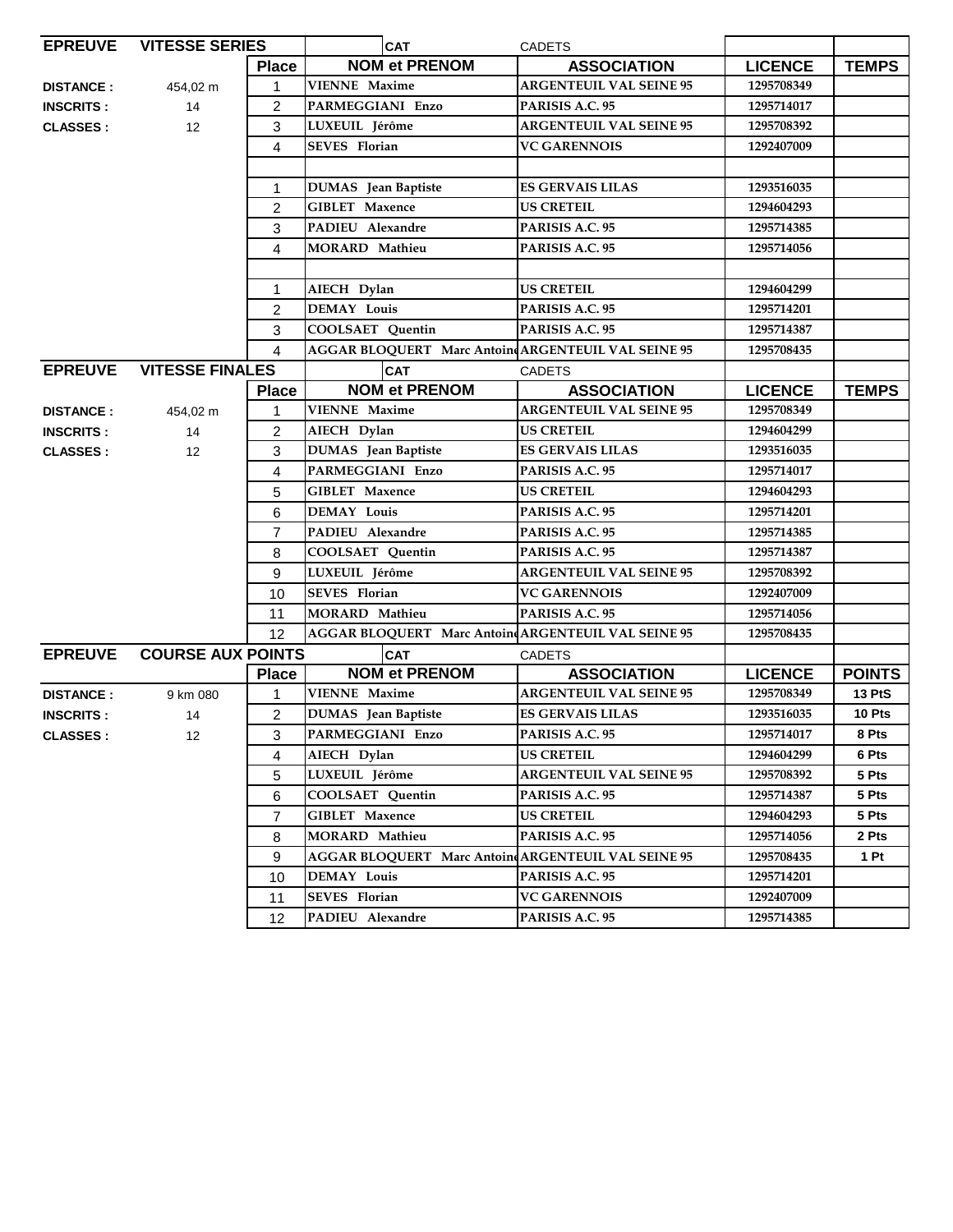| <b>EPREUVE</b>                             | <b>VITESSE SERIES</b>  |                | <b>CAT</b>                                          | <b>CADETS</b>                  |                |               |
|--------------------------------------------|------------------------|----------------|-----------------------------------------------------|--------------------------------|----------------|---------------|
|                                            |                        | <b>Place</b>   | <b>NOM et PRENOM</b>                                | <b>ASSOCIATION</b>             | <b>LICENCE</b> | <b>TEMPS</b>  |
| <b>DISTANCE:</b>                           | 454,02 m               | $\mathbf{1}$   | <b>VIENNE Maxime</b>                                | <b>ARGENTEUIL VAL SEINE 95</b> | 1295708349     |               |
| <b>INSCRITS:</b>                           | 14                     | 2              | <b>PARMEGGIANI Enzo</b>                             | PARISIS A.C. 95                | 1295714017     |               |
| <b>CLASSES:</b>                            | 12                     | 3              | LUXEUIL Jérôme                                      | <b>ARGENTEUIL VAL SEINE 95</b> | 1295708392     |               |
|                                            |                        | 4              | <b>SEVES</b> Florian                                | <b>VC GARENNOIS</b>            | 1292407009     |               |
|                                            |                        |                |                                                     |                                |                |               |
|                                            |                        | 1              | <b>DUMAS</b> Jean Baptiste                          | <b>ES GERVAIS LILAS</b>        | 1293516035     |               |
|                                            |                        | $\overline{2}$ | <b>GIBLET Maxence</b>                               | US CRETEIL                     | 1294604293     |               |
|                                            |                        | 3              | PADIEU Alexandre                                    | PARISIS A.C. 95                | 1295714385     |               |
|                                            |                        | 4              | <b>MORARD</b> Mathieu                               | PARISIS A.C. 95                | 1295714056     |               |
|                                            |                        |                |                                                     |                                |                |               |
|                                            |                        | 1              | AIECH Dylan                                         | <b>US CRETEIL</b>              | 1294604299     |               |
|                                            |                        | 2              | <b>DEMAY Louis</b>                                  | PARISIS A.C. 95                | 1295714201     |               |
|                                            |                        | 3              | <b>COOLSAET Quentin</b>                             | PARISIS A.C. 95                | 1295714387     |               |
|                                            |                        | $\overline{4}$ | AGGAR BLOQUERT Marc Antoine ARGENTEUIL VAL SEINE 95 |                                | 1295708435     |               |
| <b>EPREUVE</b>                             | <b>VITESSE FINALES</b> |                | <b>CAT</b>                                          | <b>CADETS</b>                  |                |               |
|                                            |                        | <b>Place</b>   | <b>NOM et PRENOM</b>                                | <b>ASSOCIATION</b>             | <b>LICENCE</b> | <b>TEMPS</b>  |
| <b>DISTANCE:</b>                           | 454,02 m               | 1              | <b>VIENNE Maxime</b>                                | <b>ARGENTEUIL VAL SEINE 95</b> | 1295708349     |               |
| <b>INSCRITS:</b>                           | 14                     | 2              | AIECH Dylan                                         | US CRETEIL                     | 1294604299     |               |
| <b>CLASSES:</b>                            | 12                     | 3              | DUMAS Jean Baptiste                                 | <b>ES GERVAIS LILAS</b>        | 1293516035     |               |
|                                            |                        | 4              | PARMEGGIANI Enzo                                    | PARISIS A.C. 95                | 1295714017     |               |
|                                            |                        | 5              | <b>GIBLET Maxence</b>                               | <b>US CRETEIL</b>              | 1294604293     |               |
|                                            |                        | 6              | <b>DEMAY Louis</b>                                  | PARISIS A.C. 95                | 1295714201     |               |
|                                            |                        | $\overline{7}$ | PADIEU Alexandre                                    | PARISIS A.C. 95                | 1295714385     |               |
|                                            |                        | 8              | COOLSAET Quentin                                    | PARISIS A.C. 95                | 1295714387     |               |
|                                            |                        | 9              | LUXEUIL Jérôme                                      | <b>ARGENTEUIL VAL SEINE 95</b> | 1295708392     |               |
|                                            |                        | 10             | <b>SEVES</b> Florian                                | <b>VC GARENNOIS</b>            | 1292407009     |               |
|                                            |                        | 11             | <b>MORARD Mathieu</b>                               | PARISIS A.C. 95                | 1295714056     |               |
|                                            |                        | 12             | AGGAR BLOQUERT Marc Antoin ARGENTEUIL VAL SEINE 95  |                                | 1295708435     |               |
| <b>EPREUVE</b><br><b>COURSE AUX POINTS</b> |                        |                | <b>CAT</b>                                          | <b>CADETS</b>                  |                |               |
|                                            |                        | <b>Place</b>   | <b>NOM et PRENOM</b>                                | <b>ASSOCIATION</b>             | <b>LICENCE</b> | <b>POINTS</b> |
| <b>DISTANCE:</b>                           | 9 km 080               | 1              | <b>VIENNE Maxime</b>                                | <b>ARGENTEUIL VAL SEINE 95</b> | 1295708349     | <b>13 PtS</b> |
| <b>INSCRITS:</b>                           | 14                     | $\overline{2}$ | <b>DUMAS</b> Jean Baptiste                          | <b>ES GERVAIS LILAS</b>        | 1293516035     | 10 Pts        |
| <b>CLASSES:</b>                            | 12                     | 3              | PARMEGGIANI Enzo                                    | PARISIS A.C. 95                | 1295714017     | 8 Pts         |
|                                            |                        | 4              | AIECH Dylan                                         | US CRETEIL                     | 1294604299     | 6 Pts         |
|                                            |                        | 5              | LUXEUIL Jérôme                                      | <b>ARGENTEUIL VAL SEINE 95</b> | 1295708392     | 5 Pts         |
|                                            |                        | 6              | <b>COOLSAET Quentin</b>                             | PARISIS A.C. 95                | 1295714387     | 5 Pts         |
|                                            |                        | $\overline{7}$ | <b>GIBLET Maxence</b>                               | <b>US CRETEIL</b>              | 1294604293     | 5 Pts         |
|                                            |                        | 8              | <b>MORARD Mathieu</b>                               | PARISIS A.C. 95                | 1295714056     | 2 Pts         |
|                                            |                        | 9              | AGGAR BLOQUERT Marc Antoine ARGENTEUIL VAL SEINE 95 |                                | 1295708435     | 1 Pt          |
|                                            |                        | 10             | <b>DEMAY Louis</b>                                  | PARISIS A.C. 95                | 1295714201     |               |
|                                            |                        | 11             | <b>SEVES</b> Florian                                | <b>VC GARENNOIS</b>            | 1292407009     |               |
|                                            |                        | 12             | PADIEU Alexandre                                    | PARISIS A.C. 95                | 1295714385     |               |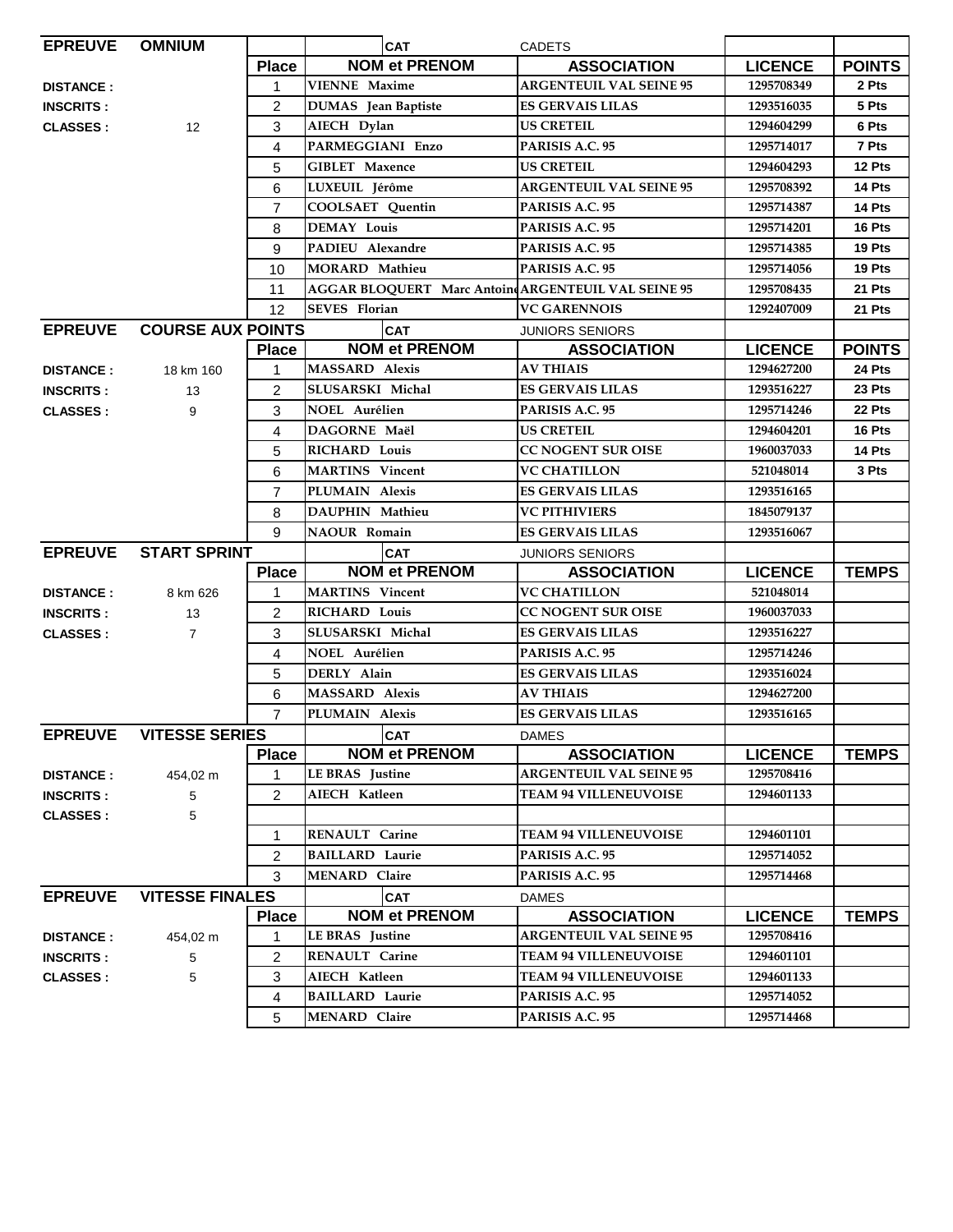| <b>EPREUVE</b>   | <b>OMNIUM</b>            |                | <b>CAT</b>                                          | <b>CADETS</b>                  |                |               |
|------------------|--------------------------|----------------|-----------------------------------------------------|--------------------------------|----------------|---------------|
|                  |                          | <b>Place</b>   | <b>NOM et PRENOM</b>                                | <b>ASSOCIATION</b>             | <b>LICENCE</b> | <b>POINTS</b> |
| <b>DISTANCE:</b> |                          | 1              | <b>VIENNE Maxime</b>                                | <b>ARGENTEUIL VAL SEINE 95</b> | 1295708349     | 2 Pts         |
| <b>INSCRITS:</b> |                          | 2              | <b>DUMAS</b> Jean Baptiste                          | <b>ES GERVAIS LILAS</b>        | 1293516035     | 5 Pts         |
| <b>CLASSES:</b>  | 12                       | 3              | AIECH Dylan                                         | <b>US CRETEIL</b>              | 1294604299     | 6 Pts         |
|                  |                          | 4              | PARMEGGIANI Enzo                                    | PARISIS A.C. 95                | 1295714017     | 7 Pts         |
|                  |                          | 5              | <b>GIBLET</b> Maxence                               | <b>US CRETEIL</b>              | 1294604293     | 12 Pts        |
|                  |                          | 6              | LUXEUIL Jérôme                                      | <b>ARGENTEUIL VAL SEINE 95</b> | 1295708392     | 14 Pts        |
|                  |                          | $\overline{7}$ | COOLSAET Quentin                                    | PARISIS A.C. 95                | 1295714387     | 14 Pts        |
|                  |                          | 8              | <b>DEMAY Louis</b>                                  | PARISIS A.C. 95                | 1295714201     | 16 Pts        |
|                  |                          | 9              | PADIEU Alexandre                                    | PARISIS A.C. 95                | 1295714385     | 19 Pts        |
|                  |                          | 10             | <b>MORARD Mathieu</b>                               | PARISIS A.C. 95                | 1295714056     | 19 Pts        |
|                  |                          | 11             | AGGAR BLOQUERT Marc Antoine ARGENTEUIL VAL SEINE 95 |                                | 1295708435     | 21 Pts        |
|                  |                          | 12             | <b>SEVES</b> Florian                                | <b>VC GARENNOIS</b>            | 1292407009     | 21 Pts        |
| <b>EPREUVE</b>   | <b>COURSE AUX POINTS</b> |                | <b>CAT</b>                                          | <b>JUNIORS SENIORS</b>         |                |               |
|                  |                          | <b>Place</b>   | <b>NOM et PRENOM</b>                                | <b>ASSOCIATION</b>             | <b>LICENCE</b> | <b>POINTS</b> |
| <b>DISTANCE:</b> | 18 km 160                | $\mathbf{1}$   | <b>MASSARD Alexis</b>                               | <b>AV THIAIS</b>               | 1294627200     | 24 Pts        |
| <b>INSCRITS:</b> | 13                       | 2              | SLUSARSKI Michal                                    | <b>ES GERVAIS LILAS</b>        | 1293516227     | 23 Pts        |
| <b>CLASSES:</b>  | 9                        | 3              | <b>NOEL Aurélien</b>                                | PARISIS A.C. 95                | 1295714246     | 22 Pts        |
|                  |                          | 4              | DAGORNE Maël                                        | <b>US CRETEIL</b>              | 1294604201     | 16 Pts        |
|                  |                          | 5              | <b>RICHARD Louis</b>                                | CC NOGENT SUR OISE             | 1960037033     | 14 Pts        |
|                  |                          | 6              | <b>MARTINS</b> Vincent                              | <b>VC CHATILLON</b>            | 521048014      | 3 Pts         |
|                  |                          | $\overline{7}$ | PLUMAIN Alexis                                      | <b>ES GERVAIS LILAS</b>        | 1293516165     |               |
|                  |                          | 8              | DAUPHIN Mathieu                                     | <b>VC PITHIVIERS</b>           | 1845079137     |               |
|                  |                          | 9              | <b>NAOUR Romain</b>                                 | <b>ES GERVAIS LILAS</b>        | 1293516067     |               |
| <b>EPREUVE</b>   | <b>START SPRINT</b>      |                | <b>CAT</b>                                          | <b>JUNIORS SENIORS</b>         |                |               |
|                  |                          | <b>Place</b>   | <b>NOM et PRENOM</b>                                | <b>ASSOCIATION</b>             | <b>LICENCE</b> | <b>TEMPS</b>  |
| <b>DISTANCE:</b> | 8 km 626                 | 1              | <b>MARTINS</b> Vincent                              | <b>VC CHATILLON</b>            | 521048014      |               |
| <b>INSCRITS:</b> | 13                       | $\overline{2}$ | <b>RICHARD Louis</b>                                | <b>CC NOGENT SUR OISE</b>      | 1960037033     |               |
| <b>CLASSES:</b>  | $\overline{7}$           | 3              | SLUSARSKI Michal                                    | <b>ES GERVAIS LILAS</b>        | 1293516227     |               |
|                  |                          | 4              | NOEL Aurélien                                       | PARISIS A.C. 95                | 1295714246     |               |
|                  |                          | 5              | DERLY Alain                                         | <b>ES GERVAIS LILAS</b>        | 1293516024     |               |
|                  |                          | 6              | <b>MASSARD Alexis</b>                               | <b>AV THIAIS</b>               | 1294627200     |               |
|                  |                          | $\overline{7}$ | PLUMAIN Alexis                                      | <b>ES GERVAIS LILAS</b>        | 1293516165     |               |
| <b>EPREUVE</b>   | <b>VITESSE SERIES</b>    |                | CAT                                                 | <b>DAMES</b>                   |                |               |
|                  |                          | <b>Place</b>   | <b>NOM et PRENOM</b>                                | <b>ASSOCIATION</b>             | <b>LICENCE</b> | <b>TEMPS</b>  |
| <b>DISTANCE:</b> | 454,02 m                 | 1              | <b>LE BRAS</b> Justine                              | <b>ARGENTEUIL VAL SEINE 95</b> | 1295708416     |               |
| <b>INSCRITS:</b> | 5                        | $\overline{c}$ | AIECH Katleen                                       | <b>TEAM 94 VILLENEUVOISE</b>   | 1294601133     |               |
| <b>CLASSES:</b>  | 5                        |                |                                                     |                                |                |               |
|                  |                          | 1              | RENAULT Carine                                      | <b>TEAM 94 VILLENEUVOISE</b>   | 1294601101     |               |
|                  |                          | 2              | <b>BAILLARD Laurie</b>                              | PARISIS A.C. 95                | 1295714052     |               |
|                  |                          | 3              | <b>MENARD</b> Claire                                | PARISIS A.C. 95                | 1295714468     |               |
| <b>EPREUVE</b>   | <b>VITESSE FINALES</b>   |                | <b>CAT</b>                                          | <b>DAMES</b>                   |                |               |
|                  |                          | <b>Place</b>   | <b>NOM et PRENOM</b>                                | <b>ASSOCIATION</b>             | <b>LICENCE</b> | <b>TEMPS</b>  |
| <b>DISTANCE:</b> | 454,02 m                 | 1              | LE BRAS Justine                                     | <b>ARGENTEUIL VAL SEINE 95</b> | 1295708416     |               |
| <b>INSCRITS:</b> | 5                        | 2              | RENAULT Carine                                      | <b>TEAM 94 VILLENEUVOISE</b>   | 1294601101     |               |
| <b>CLASSES:</b>  | 5                        | 3              | AIECH Katleen                                       | <b>TEAM 94 VILLENEUVOISE</b>   | 1294601133     |               |
|                  |                          | 4              | <b>BAILLARD Laurie</b>                              | PARISIS A.C. 95                | 1295714052     |               |
|                  |                          | 5              | <b>MENARD Claire</b>                                | PARISIS A.C. 95                | 1295714468     |               |